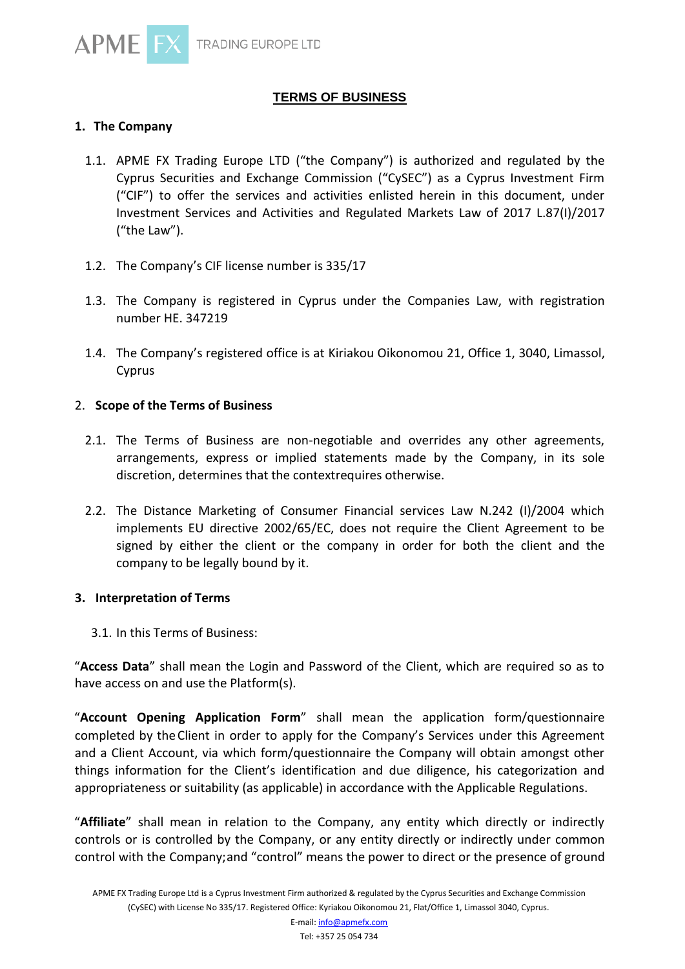

## **TERMS OF BUSINESS**

### **1. The Company**

- 1.1. APME FX Trading Europe LTD ("the Company") is authorized and regulated by the Cyprus Securities and Exchange Commission ("CySEC") as a Cyprus Investment Firm ("CIF") to offer the services and activities enlisted herein in this document, under Investment Services and Activities and Regulated Markets Law of 2017 L.87(I)/2017 ("the Law").
- 1.2. The Company's CIF license number is 335/17
- 1.3. The Company is registered in Cyprus under the Companies Law, with registration number HE. 347219
- 1.4. The Company's registered office is at Kiriakou Oikonomou 21, Office 1, 3040, Limassol, Cyprus

#### 2. **Scope of the Terms of Business**

- 2.1. The Terms of Business are non-negotiable and overrides any other agreements, arrangements, express or implied statements made by the Company, in its sole discretion, determines that the contextrequires otherwise.
- 2.2. The Distance Marketing of Consumer Financial services Law N.242 (I)/2004 which implements EU directive 2002/65/EC, does not require the Client Agreement to be signed by either the client or the company in order for both the client and the company to be legally bound by it.

#### **3. Interpretation of Terms**

3.1. In this Terms of Business:

"**Access Data**" shall mean the Login and Password of the Client, which are required so as to have access on and use the Platform(s).

"**Account Opening Application Form**" shall mean the application form/questionnaire completed by theClient in order to apply for the Company's Services under this Agreement and a Client Account, via which form/questionnaire the Company will obtain amongst other things information for the Client's identification and due diligence, his categorization and appropriateness or suitability (as applicable) in accordance with the Applicable Regulations.

"**Affiliate**" shall mean in relation to the Company, any entity which directly or indirectly controls or is controlled by the Company, or any entity directly or indirectly under common control with the Company;and "control" means the power to direct or the presence of ground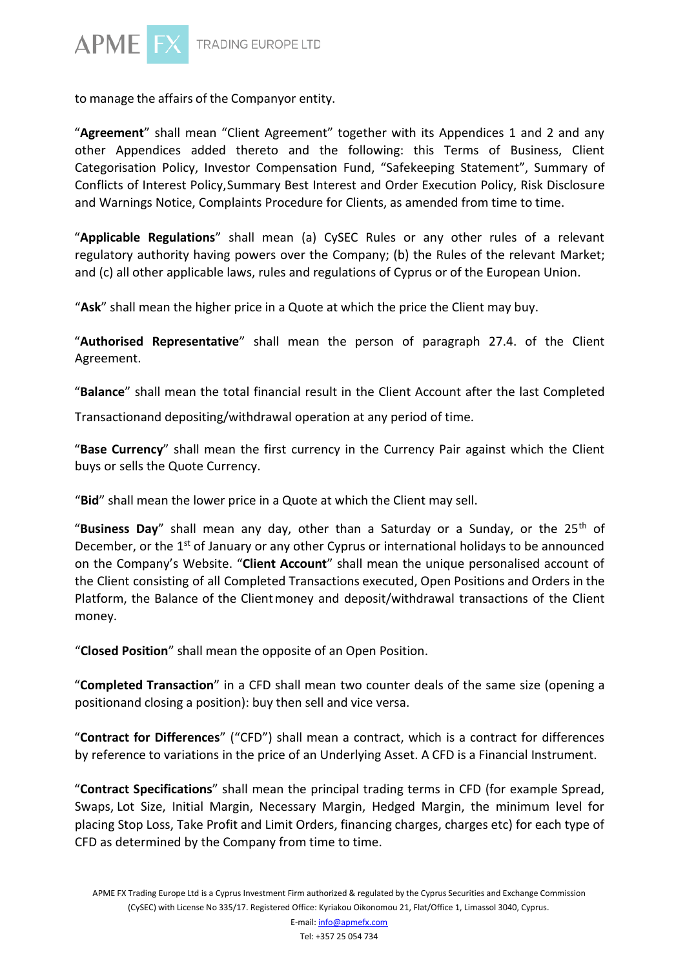

to manage the affairs of the Companyor entity.

"**Agreement**" shall mean "Client Agreement" together with its Appendices 1 and 2 and any other Appendices added thereto and the following: this Terms of Business, Client Categorisation Policy, Investor Compensation Fund, "Safekeeping Statement", Summary of Conflicts of Interest Policy,Summary Best Interest and Order Execution Policy, Risk Disclosure and Warnings Notice, Complaints Procedure for Clients, as amended from time to time.

"**Applicable Regulations**" shall mean (a) CySEC Rules or any other rules of a relevant regulatory authority having powers over the Company; (b) the Rules of the relevant Market; and (c) all other applicable laws, rules and regulations of Cyprus or of the European Union.

"**Ask**" shall mean the higher price in a Quote at which the price the Client may buy.

"**Authorised Representative**" shall mean the person of paragraph 27.4. of the Client Agreement.

"**Balance**" shall mean the total financial result in the Client Account after the last Completed

Transactionand depositing/withdrawal operation at any period of time.

"**Base Currency**" shall mean the first currency in the Currency Pair against which the Client buys or sells the Quote Currency.

"**Bid**" shall mean the lower price in a Quote at which the Client may sell.

"**Business Day**" shall mean any day, other than a Saturday or a Sunday, or the 25th of December, or the 1<sup>st</sup> of January or any other Cyprus or international holidays to be announced on the Company's Website. "**Client Account**" shall mean the unique personalised account of the Client consisting of all Completed Transactions executed, Open Positions and Orders in the Platform, the Balance of the Clientmoney and deposit/withdrawal transactions of the Client money.

"**Closed Position**" shall mean the opposite of an Open Position.

"**Completed Transaction**" in a CFD shall mean two counter deals of the same size (opening a positionand closing a position): buy then sell and vice versa.

"**Contract for Differences**" ("CFD") shall mean a contract, which is a contract for differences by reference to variations in the price of an Underlying Asset. A CFD is a Financial Instrument.

"**Contract Specifications**" shall mean the principal trading terms in CFD (for example Spread, Swaps, Lot Size, Initial Margin, Necessary Margin, Hedged Margin, the minimum level for placing Stop Loss, Take Profit and Limit Orders, financing charges, charges etc) for each type of CFD as determined by the Company from time to time.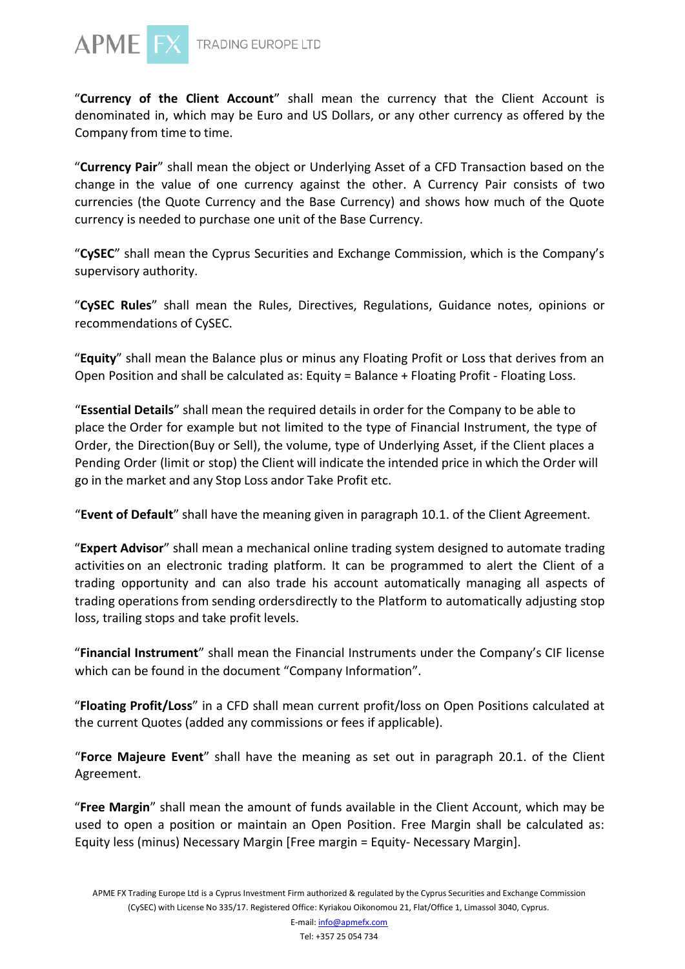

"**Currency of the Client Account**" shall mean the currency that the Client Account is denominated in, which may be Euro and US Dollars, or any other currency as offered by the Company from time to time.

"**Currency Pair**" shall mean the object or Underlying Asset of a CFD Transaction based on the change in the value of one currency against the other. A Currency Pair consists of two currencies (the Quote Currency and the Base Currency) and shows how much of the Quote currency is needed to purchase one unit of the Base Currency.

"**CySEC**" shall mean the Cyprus Securities and Exchange Commission, which is the Company's supervisory authority.

"**CySEC Rules**" shall mean the Rules, Directives, Regulations, Guidance notes, opinions or recommendations of CySEC.

"**Equity**" shall mean the Balance plus or minus any Floating Profit or Loss that derives from an Open Position and shall be calculated as: Equity = Balance + Floating Profit - Floating Loss.

"**Essential Details**" shall mean the required details in order for the Company to be able to place the Order for example but not limited to the type of Financial Instrument, the type of Order, the Direction(Buy or Sell), the volume, type of Underlying Asset, if the Client places a Pending Order (limit or stop) the Client will indicate the intended price in which the Order will go in the market and any Stop Loss andor Take Profit etc.

"**Event of Default**" shall have the meaning given in paragraph 10.1. of the Client Agreement.

"**Expert Advisor**" shall mean a mechanical online trading system designed to automate trading activities on an electronic trading platform. It can be programmed to alert the Client of a trading opportunity and can also trade his account automatically managing all aspects of trading operations from sending ordersdirectly to the Platform to automatically adjusting stop loss, trailing stops and take profit levels.

"**Financial Instrument**" shall mean the Financial Instruments under the Company's CIF license which can be found in the document "Company Information".

"**Floating Profit/Loss**" in a CFD shall mean current profit/loss on Open Positions calculated at the current Quotes (added any commissions or fees if applicable).

"**Force Majeure Event**" shall have the meaning as set out in paragraph 20.1. of the Client Agreement.

"**Free Margin**" shall mean the amount of funds available in the Client Account, which may be used to open a position or maintain an Open Position. Free Margin shall be calculated as: Equity less (minus) Necessary Margin [Free margin = Equity- Necessary Margin].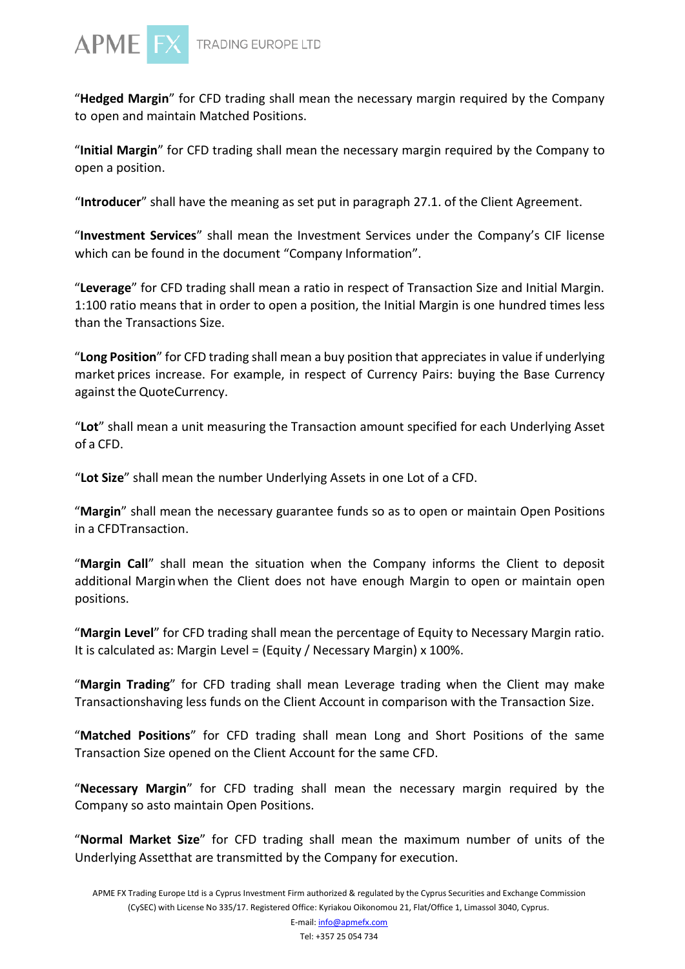

"**Hedged Margin**" for CFD trading shall mean the necessary margin required by the Company to open and maintain Matched Positions.

"**Initial Margin**" for CFD trading shall mean the necessary margin required by the Company to open a position.

"**Introducer**" shall have the meaning as set put in paragraph 27.1. of the Client Agreement.

"**Investment Services**" shall mean the Investment Services under the Company's CIF license which can be found in the document "Company Information".

"**Leverage**" for CFD trading shall mean a ratio in respect of Transaction Size and Initial Margin. 1:100 ratio means that in order to open a position, the Initial Margin is one hundred times less than the Transactions Size.

"**Long Position**" for CFD trading shall mean a buy position that appreciates in value if underlying market prices increase. For example, in respect of Currency Pairs: buying the Base Currency against the QuoteCurrency.

"**Lot**" shall mean a unit measuring the Transaction amount specified for each Underlying Asset of a CFD.

"**Lot Size**" shall mean the number Underlying Assets in one Lot of a CFD.

"**Margin**" shall mean the necessary guarantee funds so as to open or maintain Open Positions in a CFDTransaction.

"**Margin Call**" shall mean the situation when the Company informs the Client to deposit additional Marginwhen the Client does not have enough Margin to open or maintain open positions.

"**Margin Level**" for CFD trading shall mean the percentage of Equity to Necessary Margin ratio. It is calculated as: Margin Level = (Equity / Necessary Margin) x 100%.

"**Margin Trading**" for CFD trading shall mean Leverage trading when the Client may make Transactionshaving less funds on the Client Account in comparison with the Transaction Size.

"**Matched Positions**" for CFD trading shall mean Long and Short Positions of the same Transaction Size opened on the Client Account for the same CFD.

"**Necessary Margin**" for CFD trading shall mean the necessary margin required by the Company so asto maintain Open Positions.

"**Normal Market Size**" for CFD trading shall mean the maximum number of units of the Underlying Assetthat are transmitted by the Company for execution.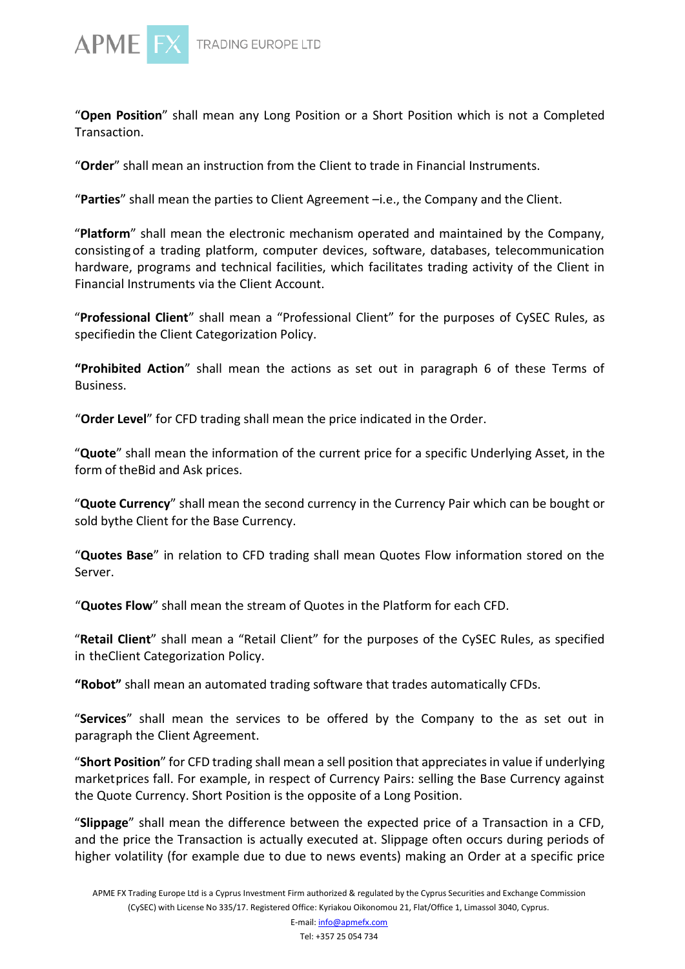

"**Open Position**" shall mean any Long Position or a Short Position which is not a Completed Transaction.

"**Order**" shall mean an instruction from the Client to trade in Financial Instruments.

"**Parties**" shall mean the parties to Client Agreement –i.e., the Company and the Client.

"**Platform**" shall mean the electronic mechanism operated and maintained by the Company, consistingof a trading platform, computer devices, software, databases, telecommunication hardware, programs and technical facilities, which facilitates trading activity of the Client in Financial Instruments via the Client Account.

"**Professional Client**" shall mean a "Professional Client" for the purposes of CySEC Rules, as specifiedin the Client Categorization Policy.

**"Prohibited Action**" shall mean the actions as set out in paragraph 6 of these Terms of Business.

"**Order Level**" for CFD trading shall mean the price indicated in the Order.

"**Quote**" shall mean the information of the current price for a specific Underlying Asset, in the form of theBid and Ask prices.

"**Quote Currency**" shall mean the second currency in the Currency Pair which can be bought or sold bythe Client for the Base Currency.

"**Quotes Base**" in relation to CFD trading shall mean Quotes Flow information stored on the Server.

"**Quotes Flow**" shall mean the stream of Quotes in the Platform for each CFD.

"**Retail Client**" shall mean a "Retail Client" for the purposes of the CySEC Rules, as specified in theClient Categorization Policy.

**"Robot"** shall mean an automated trading software that trades automatically CFDs.

"**Services**" shall mean the services to be offered by the Company to the as set out in paragraph the Client Agreement.

"**Short Position**" for CFD trading shall mean a sell position that appreciatesin value if underlying marketprices fall. For example, in respect of Currency Pairs: selling the Base Currency against the Quote Currency. Short Position is the opposite of a Long Position.

"**Slippage**" shall mean the difference between the expected price of a Transaction in a CFD, and the price the Transaction is actually executed at. Slippage often occurs during periods of higher volatility (for example due to due to news events) making an Order at a specific price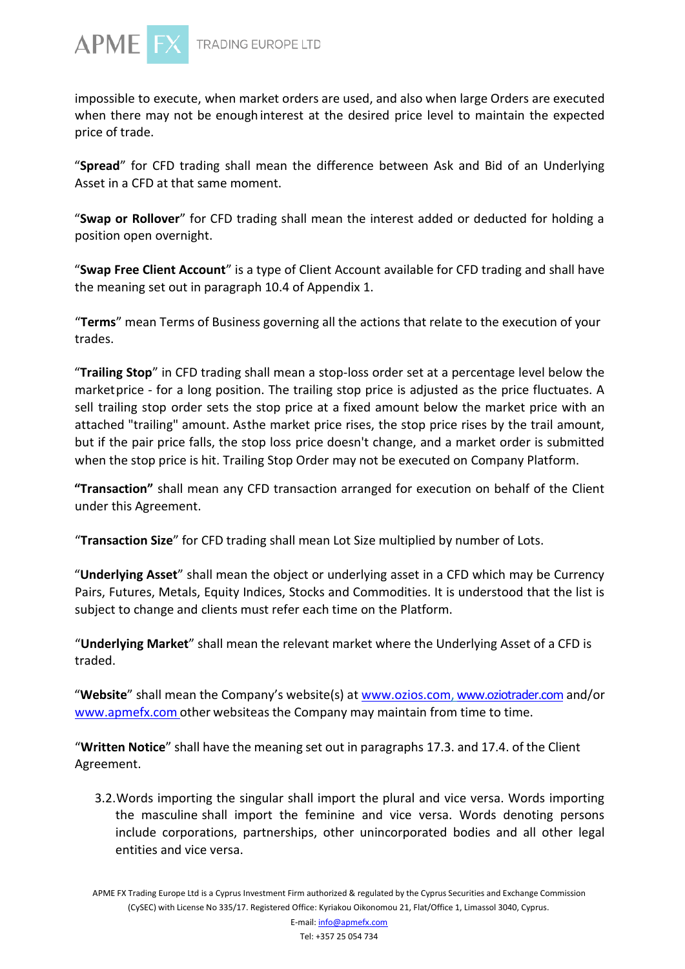

TRADING EUROPE LTD

impossible to execute, when market orders are used, and also when large Orders are executed when there may not be enough interest at the desired price level to maintain the expected price of trade.

"**Spread**" for CFD trading shall mean the difference between Ask and Bid of an Underlying Asset in a CFD at that same moment.

"**Swap or Rollover**" for CFD trading shall mean the interest added or deducted for holding a position open overnight.

"**Swap Free Client Account**" is a type of Client Account available for CFD trading and shall have the meaning set out in paragraph 10.4 of Appendix 1.

"**Terms**" mean Terms of Business governing all the actions that relate to the execution of your trades.

"**Trailing Stop**" in CFD trading shall mean a stop-loss order set at a percentage level below the marketprice - for a long position. The trailing stop price is adjusted as the price fluctuates. A sell trailing stop order sets the stop price at a fixed amount below the market price with an attached "trailing" amount. Asthe market price rises, the stop price rises by the trail amount, but if the pair price falls, the stop loss price doesn't change, and a market order is submitted when the stop price is hit. Trailing Stop Order may not be executed on Company Platform.

**"Transaction"** shall mean any CFD transaction arranged for execution on behalf of the Client under this Agreement.

"**Transaction Size**" for CFD trading shall mean Lot Size multiplied by number of Lots.

"**Underlying Asset**" shall mean the object or underlying asset in a CFD which may be Currency Pairs, Futures, Metals, Equity Indices, Stocks and Commodities. It is understood that the list is subject to change and clients must refer each time on the Platform.

"**Underlying Market**" shall mean the relevant market where the Underlying Asset of a CFD is traded.

"**Website**" shall mean the Company's website(s) at [www.ozios.com,](http://www.ozios.com/) [www.oziotrader.com](http://www.oziotrader.com/) and/or www.apmefx.com other websiteas the Company may maintain from time to time.

"**Written Notice**" shall have the meaning set out in paragraphs 17.3. and 17.4. of the Client Agreement.

3.2.Words importing the singular shall import the plural and vice versa. Words importing the masculine shall import the feminine and vice versa. Words denoting persons include corporations, partnerships, other unincorporated bodies and all other legal entities and vice versa.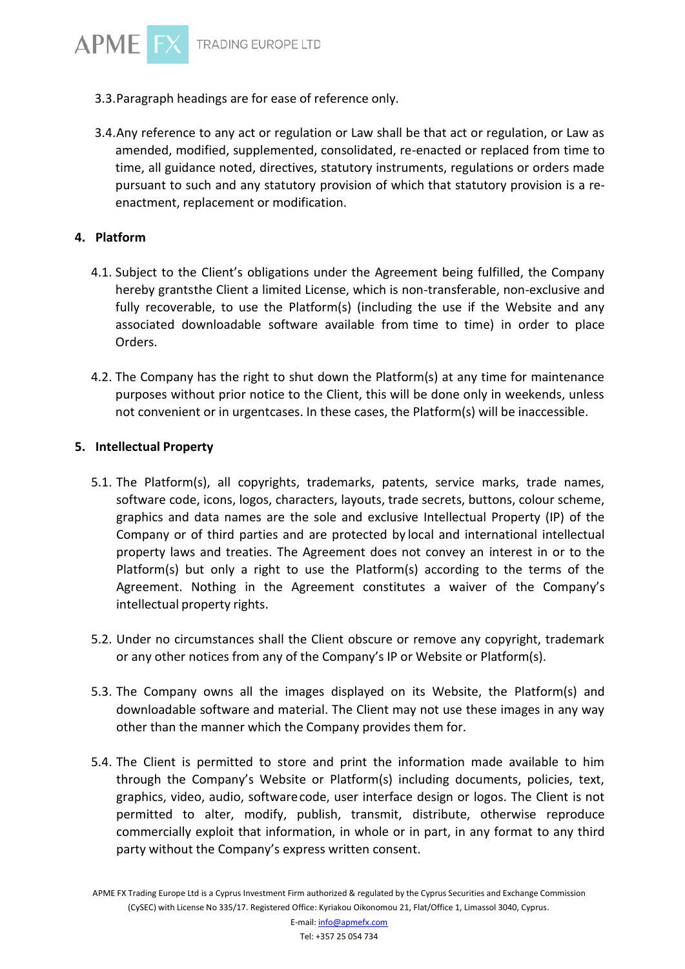- 3.3.Paragraph headings are for ease of reference only.
- 3.4.Any reference to any act or regulation or Law shall be that act or regulation, or Law as amended, modified, supplemented, consolidated, re-enacted or replaced from time to time, all guidance noted, directives, statutory instruments, regulations or orders made pursuant to such and any statutory provision of which that statutory provision is a reenactment, replacement or modification.

#### **4. Platform**

**APME F** 

- 4.1. Subject to the Client's obligations under the Agreement being fulfilled, the Company hereby grantsthe Client a limited License, which is non-transferable, non-exclusive and fully recoverable, to use the Platform(s) (including the use if the Website and any associated downloadable software available from time to time) in order to place Orders.
- 4.2. The Company has the right to shut down the Platform(s) at any time for maintenance purposes without prior notice to the Client, this will be done only in weekends, unless not convenient or in urgentcases. In these cases, the Platform(s) will be inaccessible.

#### **5. Intellectual Property**

- 5.1. The Platform(s), all copyrights, trademarks, patents, service marks, trade names, software code, icons, logos, characters, layouts, trade secrets, buttons, colour scheme, graphics and data names are the sole and exclusive Intellectual Property (IP) of the Company or of third parties and are protected by local and international intellectual property laws and treaties. The Agreement does not convey an interest in or to the Platform(s) but only a right to use the Platform(s) according to the terms of the Agreement. Nothing in the Agreement constitutes a waiver of the Company's intellectual property rights.
- 5.2. Under no circumstances shall the Client obscure or remove any copyright, trademark or any other notices from any of the Company's IP or Website or Platform(s).
- 5.3. The Company owns all the images displayed on its Website, the Platform(s) and downloadable software and material. The Client may not use these images in any way other than the manner which the Company provides them for.
- 5.4. The Client is permitted to store and print the information made available to him through the Company's Website or Platform(s) including documents, policies, text, graphics, video, audio, softwarecode, user interface design or logos. The Client is not permitted to alter, modify, publish, transmit, distribute, otherwise reproduce commercially exploit that information, in whole or in part, in any format to any third party without the Company's express written consent.

APME FX Trading Europe Ltd is a Cyprus Investment Firm authorized & regulated by the Cyprus Securities and Exchange Commission (CySEC) with License No 335/17. Registered Office: Kyriakou Oikonomou 21, Flat/Office 1, Limassol 3040, Cyprus.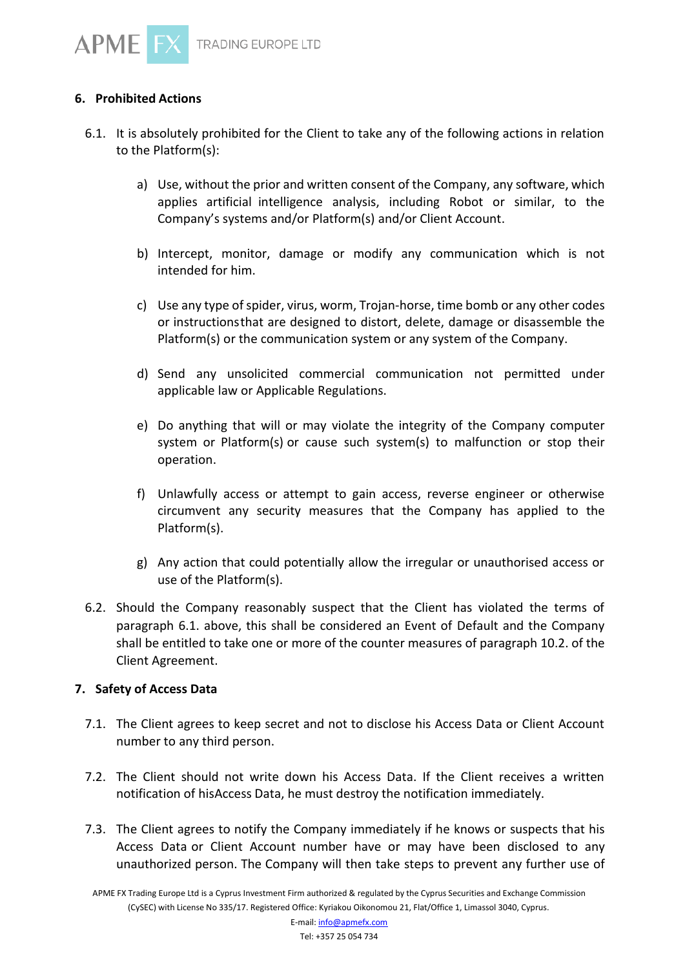

## **6. Prohibited Actions**

- 6.1. It is absolutely prohibited for the Client to take any of the following actions in relation to the Platform(s):
	- a) Use, without the prior and written consent of the Company, any software, which applies artificial intelligence analysis, including Robot or similar, to the Company's systems and/or Platform(s) and/or Client Account.
	- b) Intercept, monitor, damage or modify any communication which is not intended for him.
	- c) Use any type of spider, virus, worm, Trojan-horse, time bomb or any other codes or instructionsthat are designed to distort, delete, damage or disassemble the Platform(s) or the communication system or any system of the Company.
	- d) Send any unsolicited commercial communication not permitted under applicable law or Applicable Regulations.
	- e) Do anything that will or may violate the integrity of the Company computer system or Platform(s) or cause such system(s) to malfunction or stop their operation.
	- f) Unlawfully access or attempt to gain access, reverse engineer or otherwise circumvent any security measures that the Company has applied to the Platform(s).
	- g) Any action that could potentially allow the irregular or unauthorised access or use of the Platform(s).
- 6.2. Should the Company reasonably suspect that the Client has violated the terms of paragraph 6.1. above, this shall be considered an Event of Default and the Company shall be entitled to take one or more of the counter measures of paragraph 10.2. of the Client Agreement.

#### **7. Safety of Access Data**

- 7.1. The Client agrees to keep secret and not to disclose his Access Data or Client Account number to any third person.
- 7.2. The Client should not write down his Access Data. If the Client receives a written notification of hisAccess Data, he must destroy the notification immediately.
- 7.3. The Client agrees to notify the Company immediately if he knows or suspects that his Access Data or Client Account number have or may have been disclosed to any unauthorized person. The Company will then take steps to prevent any further use of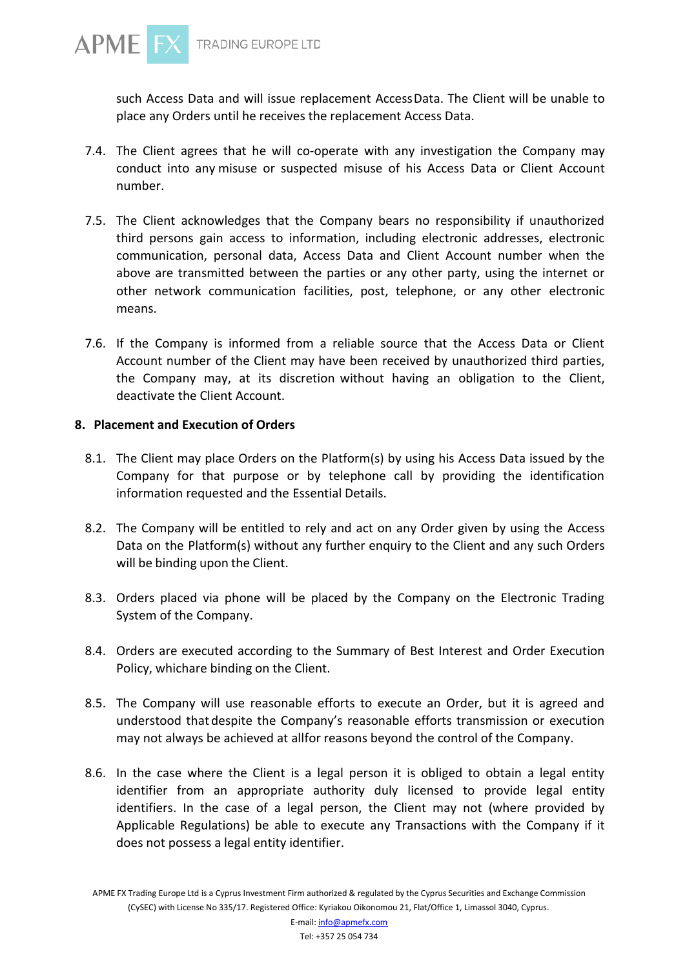

such Access Data and will issue replacement AccessData. The Client will be unable to place any Orders until he receives the replacement Access Data.

- 7.4. The Client agrees that he will co-operate with any investigation the Company may conduct into any misuse or suspected misuse of his Access Data or Client Account number.
- 7.5. The Client acknowledges that the Company bears no responsibility if unauthorized third persons gain access to information, including electronic addresses, electronic communication, personal data, Access Data and Client Account number when the above are transmitted between the parties or any other party, using the internet or other network communication facilities, post, telephone, or any other electronic means.
- 7.6. If the Company is informed from a reliable source that the Access Data or Client Account number of the Client may have been received by unauthorized third parties, the Company may, at its discretion without having an obligation to the Client, deactivate the Client Account.

### **8. Placement and Execution of Orders**

- 8.1. The Client may place Orders on the Platform(s) by using his Access Data issued by the Company for that purpose or by telephone call by providing the identification information requested and the Essential Details.
- 8.2. The Company will be entitled to rely and act on any Order given by using the Access Data on the Platform(s) without any further enquiry to the Client and any such Orders will be binding upon the Client.
- 8.3. Orders placed via phone will be placed by the Company on the Electronic Trading System of the Company.
- 8.4. Orders are executed according to the Summary of Best Interest and Order Execution Policy, whichare binding on the Client.
- 8.5. The Company will use reasonable efforts to execute an Order, but it is agreed and understood that despite the Company's reasonable efforts transmission or execution may not always be achieved at allfor reasons beyond the control of the Company.
- 8.6. In the case where the Client is a legal person it is obliged to obtain a legal entity identifier from an appropriate authority duly licensed to provide legal entity identifiers. In the case of a legal person, the Client may not (where provided by Applicable Regulations) be able to execute any Transactions with the Company if it does not possess a legal entity identifier.

APME FX Trading Europe Ltd is a Cyprus Investment Firm authorized & regulated by the Cyprus Securities and Exchange Commission (CySEC) with License No 335/17. Registered Office: Kyriakou Oikonomou 21, Flat/Office 1, Limassol 3040, Cyprus.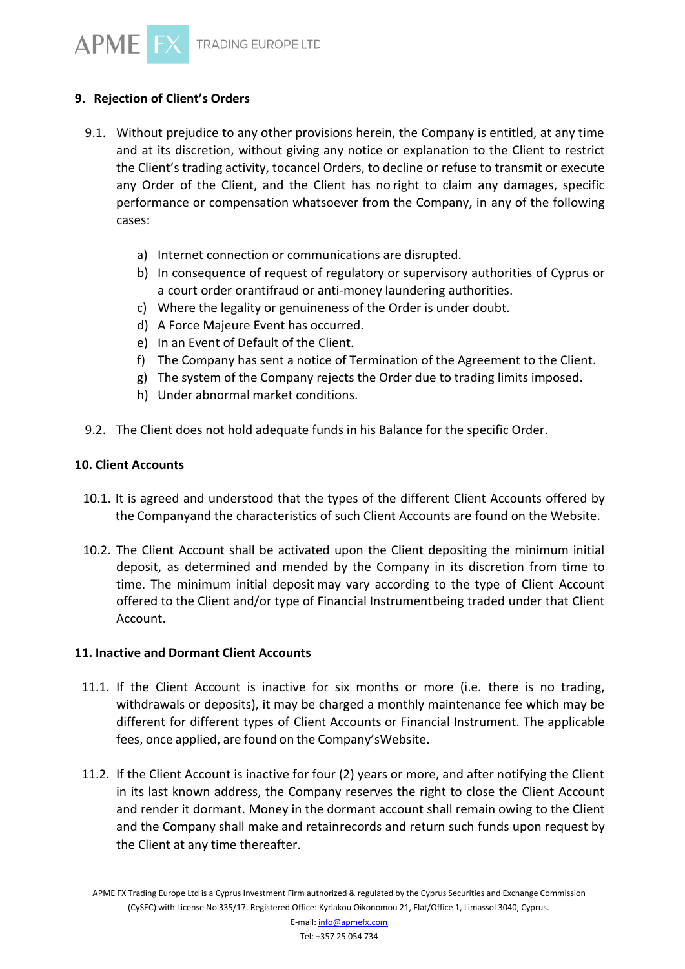# **9. Rejection of Client's Orders**

- 9.1. Without prejudice to any other provisions herein, the Company is entitled, at any time and at its discretion, without giving any notice or explanation to the Client to restrict the Client's trading activity, tocancel Orders, to decline or refuse to transmit or execute any Order of the Client, and the Client has no right to claim any damages, specific performance or compensation whatsoever from the Company, in any of the following cases:
	- a) Internet connection or communications are disrupted.
	- b) In consequence of request of regulatory or supervisory authorities of Cyprus or a court order orantifraud or anti-money laundering authorities.
	- c) Where the legality or genuineness of the Order is under doubt.
	- d) A Force Majeure Event has occurred.
	- e) In an Event of Default of the Client.
	- f) The Company has sent a notice of Termination of the Agreement to the Client.
	- g) The system of the Company rejects the Order due to trading limits imposed.
	- h) Under abnormal market conditions.
- 9.2. The Client does not hold adequate funds in his Balance for the specific Order.

#### **10. Client Accounts**

- 10.1. It is agreed and understood that the types of the different Client Accounts offered by the Companyand the characteristics of such Client Accounts are found on the Website.
- 10.2. The Client Account shall be activated upon the Client depositing the minimum initial deposit, as determined and mended by the Company in its discretion from time to time. The minimum initial deposit may vary according to the type of Client Account offered to the Client and/or type of Financial Instrumentbeing traded under that Client Account.

#### **11. Inactive and Dormant Client Accounts**

- 11.1. If the Client Account is inactive for six months or more (i.e. there is no trading, withdrawals or deposits), it may be charged a monthly maintenance fee which may be different for different types of Client Accounts or Financial Instrument. The applicable fees, once applied, are found on the Company'sWebsite.
- 11.2. If the Client Account is inactive for four (2) years or more, and after notifying the Client in its last known address, the Company reserves the right to close the Client Account and render it dormant. Money in the dormant account shall remain owing to the Client and the Company shall make and retainrecords and return such funds upon request by the Client at any time thereafter.

APME FX Trading Europe Ltd is a Cyprus Investment Firm authorized & regulated by the Cyprus Securities and Exchange Commission (CySEC) with License No 335/17. Registered Office: Kyriakou Oikonomou 21, Flat/Office 1, Limassol 3040, Cyprus.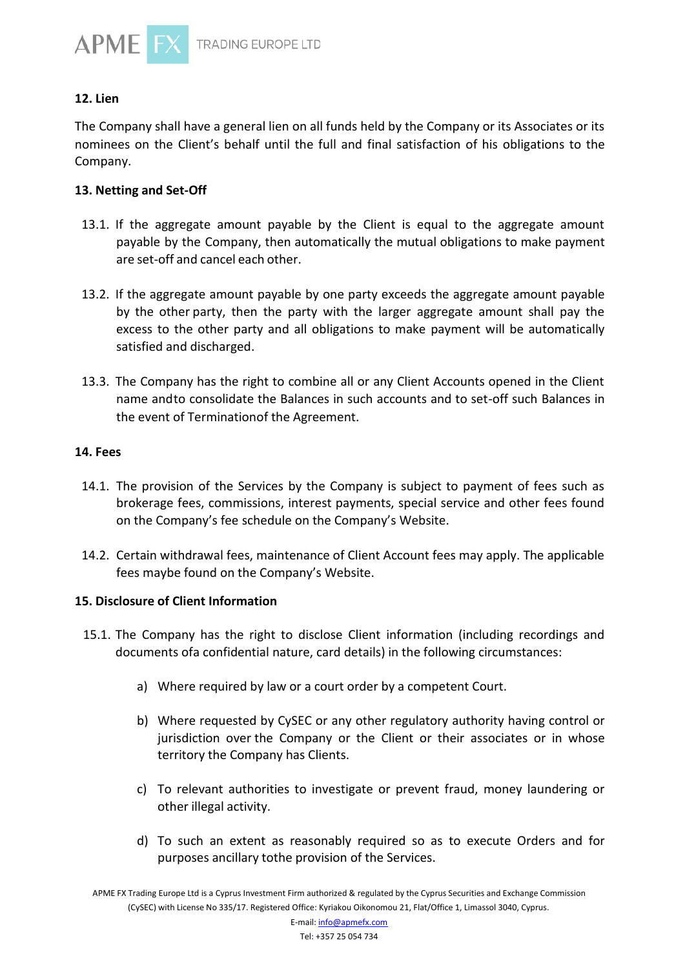

# **12. Lien**

The Company shall have a general lien on all funds held by the Company or its Associates or its nominees on the Client's behalf until the full and final satisfaction of his obligations to the Company.

### **13. Netting and Set-Off**

- 13.1. If the aggregate amount payable by the Client is equal to the aggregate amount payable by the Company, then automatically the mutual obligations to make payment are set-off and cancel each other.
- 13.2. If the aggregate amount payable by one party exceeds the aggregate amount payable by the other party, then the party with the larger aggregate amount shall pay the excess to the other party and all obligations to make payment will be automatically satisfied and discharged.
- 13.3. The Company has the right to combine all or any Client Accounts opened in the Client name andto consolidate the Balances in such accounts and to set-off such Balances in the event of Terminationof the Agreement.

#### **14. Fees**

- 14.1. The provision of the Services by the Company is subject to payment of fees such as brokerage fees, commissions, interest payments, special service and other fees found on the Company's fee schedule on the Company's Website.
- 14.2. Certain withdrawal fees, maintenance of Client Account fees may apply. The applicable fees maybe found on the Company's Website.

#### **15. Disclosure of Client Information**

- 15.1. The Company has the right to disclose Client information (including recordings and documents ofa confidential nature, card details) in the following circumstances:
	- a) Where required by law or a court order by a competent Court.
	- b) Where requested by CySEC or any other regulatory authority having control or jurisdiction over the Company or the Client or their associates or in whose territory the Company has Clients.
	- c) To relevant authorities to investigate or prevent fraud, money laundering or other illegal activity.
	- d) To such an extent as reasonably required so as to execute Orders and for purposes ancillary tothe provision of the Services.

APME FX Trading Europe Ltd is a Cyprus Investment Firm authorized & regulated by the Cyprus Securities and Exchange Commission (CySEC) with License No 335/17. Registered Office: Kyriakou Oikonomou 21, Flat/Office 1, Limassol 3040, Cyprus.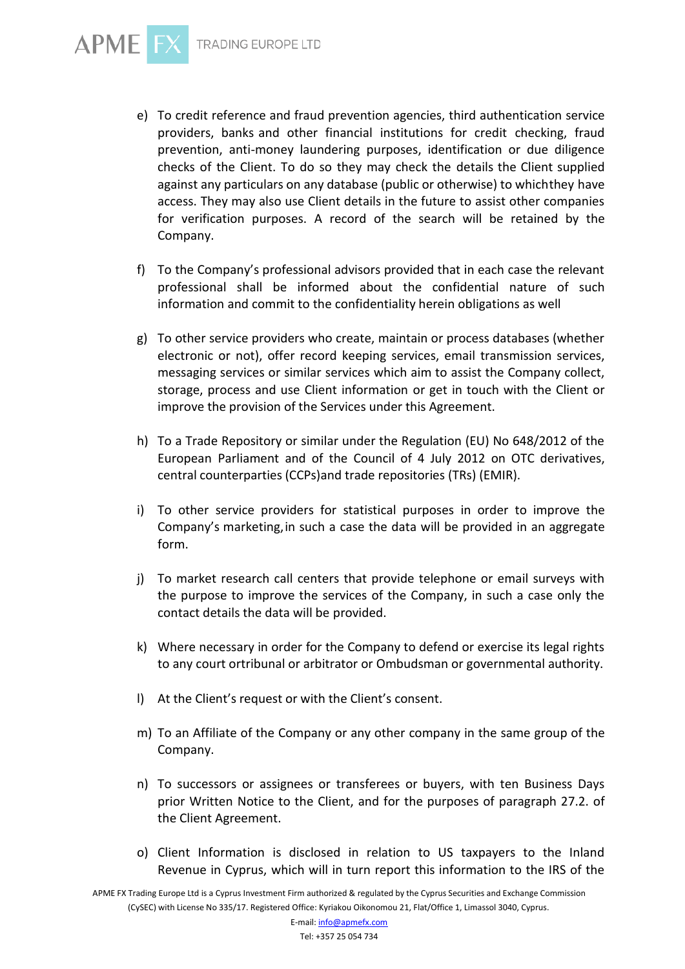

- e) To credit reference and fraud prevention agencies, third authentication service providers, banks and other financial institutions for credit checking, fraud prevention, anti-money laundering purposes, identification or due diligence checks of the Client. To do so they may check the details the Client supplied against any particulars on any database (public or otherwise) to whichthey have access. They may also use Client details in the future to assist other companies for verification purposes. A record of the search will be retained by the Company.
- f) To the Company's professional advisors provided that in each case the relevant professional shall be informed about the confidential nature of such information and commit to the confidentiality herein obligations as well
- g) To other service providers who create, maintain or process databases (whether electronic or not), offer record keeping services, email transmission services, messaging services or similar services which aim to assist the Company collect, storage, process and use Client information or get in touch with the Client or improve the provision of the Services under this Agreement.
- h) To a Trade Repository or similar under the Regulation (EU) No 648/2012 of the European Parliament and of the Council of 4 July 2012 on OTC derivatives, central counterparties (CCPs)and trade repositories (TRs) (EMIR).
- i) To other service providers for statistical purposes in order to improve the Company's marketing,in such a case the data will be provided in an aggregate form.
- j) To market research call centers that provide telephone or email surveys with the purpose to improve the services of the Company, in such a case only the contact details the data will be provided.
- k) Where necessary in order for the Company to defend or exercise its legal rights to any court ortribunal or arbitrator or Ombudsman or governmental authority.
- l) At the Client's request or with the Client's consent.
- m) To an Affiliate of the Company or any other company in the same group of the Company.
- n) To successors or assignees or transferees or buyers, with ten Business Days prior Written Notice to the Client, and for the purposes of paragraph 27.2. of the Client Agreement.
- o) Client Information is disclosed in relation to US taxpayers to the Inland Revenue in Cyprus, which will in turn report this information to the IRS of the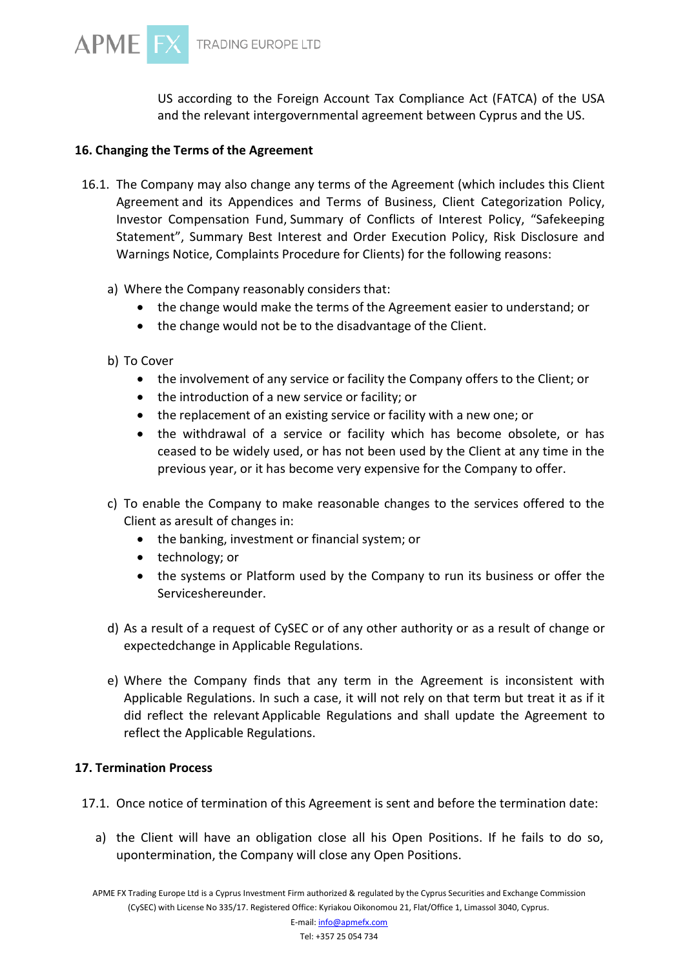US according to the Foreign Account Tax Compliance Act (FATCA) of the USA and the relevant intergovernmental agreement between Cyprus and the US.

## **16. Changing the Terms of the Agreement**

- 16.1. The Company may also change any terms of the Agreement (which includes this Client Agreement and its Appendices and Terms of Business, Client Categorization Policy, Investor Compensation Fund, Summary of Conflicts of Interest Policy, "Safekeeping Statement", Summary Best Interest and Order Execution Policy, Risk Disclosure and Warnings Notice, Complaints Procedure for Clients) for the following reasons:
	- a) Where the Company reasonably considers that:
		- the change would make the terms of the Agreement easier to understand; or
		- the change would not be to the disadvantage of the Client.
	- b) To Cover
		- the involvement of any service or facility the Company offers to the Client; or
		- the introduction of a new service or facility; or
		- the replacement of an existing service or facility with a new one; or
		- the withdrawal of a service or facility which has become obsolete, or has ceased to be widely used, or has not been used by the Client at any time in the previous year, or it has become very expensive for the Company to offer.
	- c) To enable the Company to make reasonable changes to the services offered to the Client as aresult of changes in:
		- the banking, investment or financial system; or
		- technology; or
		- the systems or Platform used by the Company to run its business or offer the Serviceshereunder.
	- d) As a result of a request of CySEC or of any other authority or as a result of change or expectedchange in Applicable Regulations.
	- e) Where the Company finds that any term in the Agreement is inconsistent with Applicable Regulations. In such a case, it will not rely on that term but treat it as if it did reflect the relevant Applicable Regulations and shall update the Agreement to reflect the Applicable Regulations.

#### **17. Termination Process**

- 17.1. Once notice of termination of this Agreement is sent and before the termination date:
	- a) the Client will have an obligation close all his Open Positions. If he fails to do so, upontermination, the Company will close any Open Positions.

APME FX Trading Europe Ltd is a Cyprus Investment Firm authorized & regulated by the Cyprus Securities and Exchange Commission (CySEC) with License No 335/17. Registered Office: Kyriakou Oikonomou 21, Flat/Office 1, Limassol 3040, Cyprus.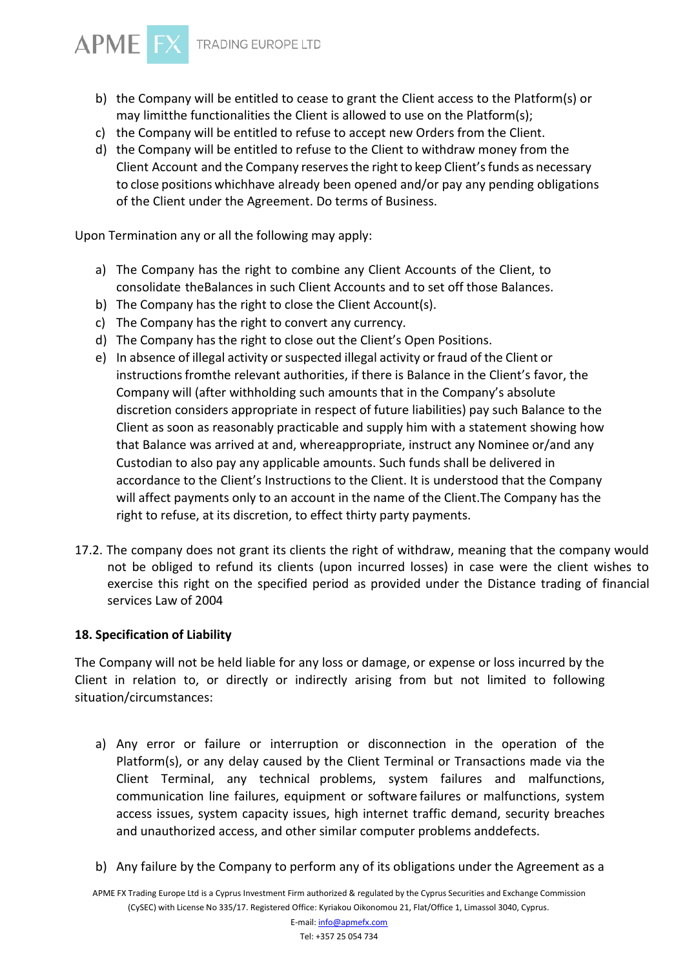

- b) the Company will be entitled to cease to grant the Client access to the Platform(s) or may limitthe functionalities the Client is allowed to use on the Platform(s);
- c) the Company will be entitled to refuse to accept new Orders from the Client.
- d) the Company will be entitled to refuse to the Client to withdraw money from the Client Account and the Company reservesthe right to keep Client'sfunds as necessary to close positions whichhave already been opened and/or pay any pending obligations of the Client under the Agreement. Do terms of Business.

Upon Termination any or all the following may apply:

- a) The Company has the right to combine any Client Accounts of the Client, to consolidate theBalances in such Client Accounts and to set off those Balances.
- b) The Company has the right to close the Client Account(s).
- c) The Company has the right to convert any currency.
- d) The Company has the right to close out the Client's Open Positions.
- e) In absence of illegal activity or suspected illegal activity or fraud of the Client or instructions fromthe relevant authorities, if there is Balance in the Client's favor, the Company will (after withholding such amounts that in the Company's absolute discretion considers appropriate in respect of future liabilities) pay such Balance to the Client as soon as reasonably practicable and supply him with a statement showing how that Balance was arrived at and, whereappropriate, instruct any Nominee or/and any Custodian to also pay any applicable amounts. Such funds shall be delivered in accordance to the Client's Instructions to the Client. It is understood that the Company will affect payments only to an account in the name of the Client.The Company has the right to refuse, at its discretion, to effect thirty party payments.
- 17.2. The company does not grant its clients the right of withdraw, meaning that the company would not be obliged to refund its clients (upon incurred losses) in case were the client wishes to exercise this right on the specified period as provided under the Distance trading of financial services Law of 2004

#### **18. Specification of Liability**

The Company will not be held liable for any loss or damage, or expense or loss incurred by the Client in relation to, or directly or indirectly arising from but not limited to following situation/circumstances:

- a) Any error or failure or interruption or disconnection in the operation of the Platform(s), or any delay caused by the Client Terminal or Transactions made via the Client Terminal, any technical problems, system failures and malfunctions, communication line failures, equipment or software failures or malfunctions, system access issues, system capacity issues, high internet traffic demand, security breaches and unauthorized access, and other similar computer problems anddefects.
- b) Any failure by the Company to perform any of its obligations under the Agreement as a